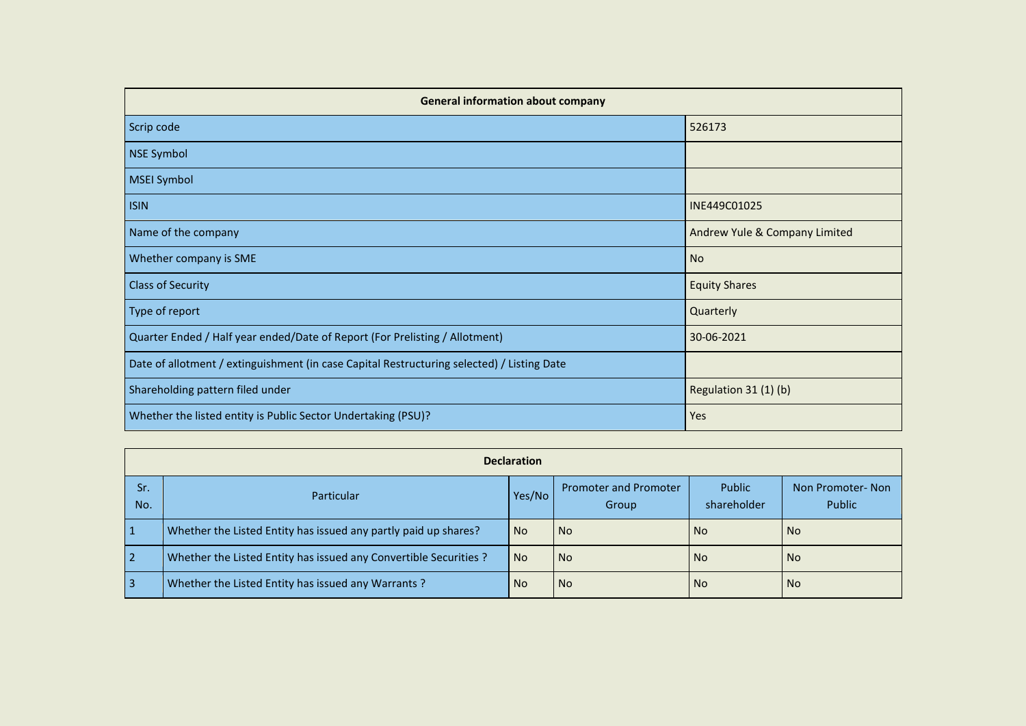| <b>General information about company</b>                                                   |                               |  |  |  |  |  |  |  |  |  |  |
|--------------------------------------------------------------------------------------------|-------------------------------|--|--|--|--|--|--|--|--|--|--|
| Scrip code                                                                                 | 526173                        |  |  |  |  |  |  |  |  |  |  |
| NSE Symbol                                                                                 |                               |  |  |  |  |  |  |  |  |  |  |
| <b>MSEI Symbol</b>                                                                         |                               |  |  |  |  |  |  |  |  |  |  |
| <b>ISIN</b>                                                                                | INE449C01025                  |  |  |  |  |  |  |  |  |  |  |
| Name of the company                                                                        | Andrew Yule & Company Limited |  |  |  |  |  |  |  |  |  |  |
| Whether company is SME                                                                     | <b>No</b>                     |  |  |  |  |  |  |  |  |  |  |
| <b>Class of Security</b>                                                                   | <b>Equity Shares</b>          |  |  |  |  |  |  |  |  |  |  |
| Type of report                                                                             | Quarterly                     |  |  |  |  |  |  |  |  |  |  |
| Quarter Ended / Half year ended/Date of Report (For Prelisting / Allotment)                | 30-06-2021                    |  |  |  |  |  |  |  |  |  |  |
| Date of allotment / extinguishment (in case Capital Restructuring selected) / Listing Date |                               |  |  |  |  |  |  |  |  |  |  |
| Shareholding pattern filed under                                                           | Regulation 31 (1) (b)         |  |  |  |  |  |  |  |  |  |  |
| Whether the listed entity is Public Sector Undertaking (PSU)?                              | Yes                           |  |  |  |  |  |  |  |  |  |  |

|                | <b>Declaration</b>                                                |           |                                              |                       |                            |  |  |  |  |  |  |  |  |
|----------------|-------------------------------------------------------------------|-----------|----------------------------------------------|-----------------------|----------------------------|--|--|--|--|--|--|--|--|
| Sr.<br>No.     | <b>Particular</b>                                                 | Yes/No    | <b>Promoter and Promoter</b><br><b>Group</b> | Public<br>shareholder | Non Promoter-Non<br>Public |  |  |  |  |  |  |  |  |
|                | Whether the Listed Entity has issued any partly paid up shares?   | <b>No</b> | <b>No</b>                                    | No.                   | <b>No</b>                  |  |  |  |  |  |  |  |  |
| $\overline{2}$ | Whether the Listed Entity has issued any Convertible Securities ? | <b>No</b> | <b>No</b>                                    | No.                   | <b>No</b>                  |  |  |  |  |  |  |  |  |
| -3             | Whether the Listed Entity has issued any Warrants?                | <b>No</b> | <b>No</b>                                    | No.                   | <b>No</b>                  |  |  |  |  |  |  |  |  |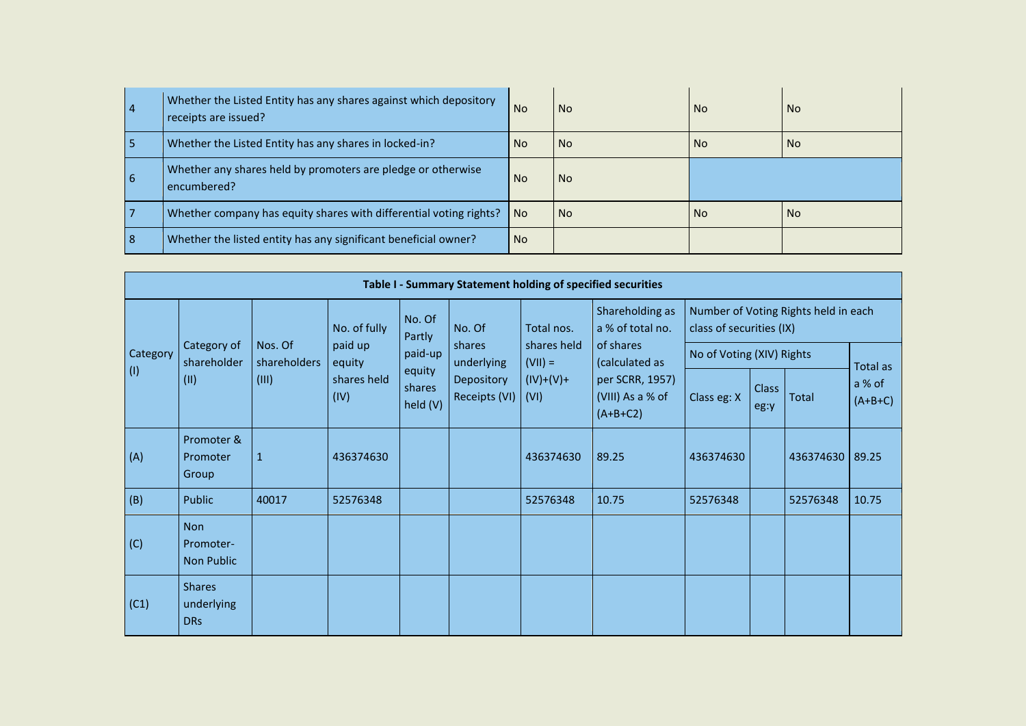| $\vert 4$  | Whether the Listed Entity has any shares against which depository<br>receipts are issued? | <b>No</b> | <b>No</b> | <b>No</b> | <b>No</b> |
|------------|-------------------------------------------------------------------------------------------|-----------|-----------|-----------|-----------|
| 15         | Whether the Listed Entity has any shares in locked-in?                                    | No.       | <b>No</b> | <b>No</b> | l No      |
| <u>  6</u> | Whether any shares held by promoters are pledge or otherwise<br>encumbered?               | <b>No</b> | <b>No</b> |           |           |
|            | Whether company has equity shares with differential voting rights?                        | No.       | <b>No</b> | <b>No</b> | <b>No</b> |
| <u>  8</u> | Whether the listed entity has any significant beneficial owner?                           | <b>No</b> |           |           |           |

|             |                                           |                         |                     |                              |                             |                          | Table I - Summary Statement holding of specified securities |                           |                      |                                      |                     |  |
|-------------|-------------------------------------------|-------------------------|---------------------|------------------------------|-----------------------------|--------------------------|-------------------------------------------------------------|---------------------------|----------------------|--------------------------------------|---------------------|--|
|             |                                           |                         | No. of fully        | No. Of<br>Partly             | No. Of                      | Total nos.               | Shareholding as<br>a % of total no.                         | class of securities (IX)  |                      | Number of Voting Rights held in each |                     |  |
| Category    | Category of<br>shareholder                | Nos. Of<br>shareholders | paid up<br>equity   | paid-up                      | shares<br>underlying        | shares held<br>$(VII) =$ | of shares<br>(calculated as                                 | No of Voting (XIV) Rights |                      |                                      | Total as            |  |
| $\vert$ (1) | (11)                                      | (III)                   | shares held<br>(IV) | equity<br>shares<br>held (V) | Depository<br>Receipts (VI) | $(IV)+(V)+$<br>(VI)      | per SCRR, 1957)<br>(VIII) As a % of<br>$(A+B+C2)$           | Class eg: X               | <b>Class</b><br>eg:y | Total                                | a % of<br>$(A+B+C)$ |  |
| (A)         | Promoter &<br>Promoter<br>Group           | $\mathbf{1}$            | 436374630           |                              |                             | 436374630                | 89.25                                                       | 436374630                 |                      | 436374630                            | 89.25               |  |
| (B)         | Public                                    | 40017                   | 52576348            |                              |                             | 52576348                 | 10.75                                                       | 52576348                  |                      | 52576348                             | 10.75               |  |
| (C)         | <b>Non</b><br>Promoter-<br>Non Public     |                         |                     |                              |                             |                          |                                                             |                           |                      |                                      |                     |  |
| (C1)        | <b>Shares</b><br>underlying<br><b>DRs</b> |                         |                     |                              |                             |                          |                                                             |                           |                      |                                      |                     |  |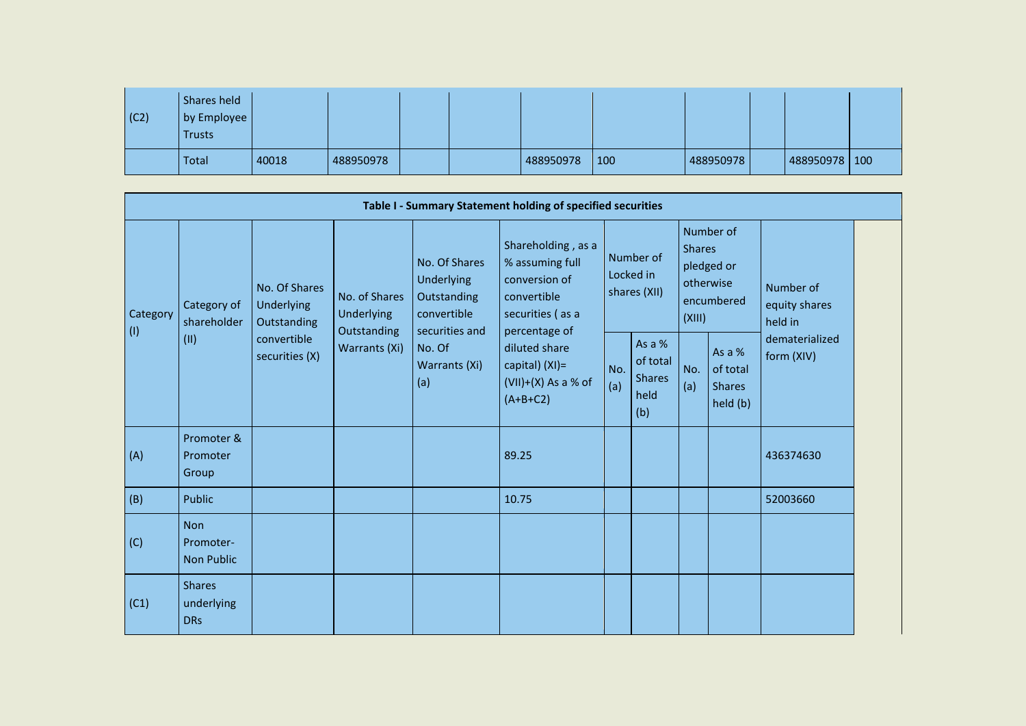| $\vert$ (C2) | Shares held<br>by Employee<br><b>Trusts</b> |       |           |  |           |     |           |                 |  |
|--------------|---------------------------------------------|-------|-----------|--|-----------|-----|-----------|-----------------|--|
|              | Total                                       | 40018 | 488950978 |  | 488950978 | 100 | 488950978 | 488950978   100 |  |

| Table I - Summary Statement holding of specified securities |                                              |                                            |                                                                    |                                                                                                               |                                                                                                            |                                        |                                                      |                                                                               |                                                 |                                       |  |  |
|-------------------------------------------------------------|----------------------------------------------|--------------------------------------------|--------------------------------------------------------------------|---------------------------------------------------------------------------------------------------------------|------------------------------------------------------------------------------------------------------------|----------------------------------------|------------------------------------------------------|-------------------------------------------------------------------------------|-------------------------------------------------|---------------------------------------|--|--|
| Category<br>$\vert$ (l)                                     | Category of<br>shareholder<br>(II)           | No. Of Shares<br>Underlying<br>Outstanding | No. of Shares<br><b>Underlying</b><br>Outstanding<br>Warrants (Xi) | No. Of Shares<br>Underlying<br>Outstanding<br>convertible<br>securities and<br>No. Of<br>Warrants (Xi)<br>(a) | Shareholding, as a<br>% assuming full<br>conversion of<br>convertible<br>securities (as a<br>percentage of | Number of<br>Locked in<br>shares (XII) |                                                      | Number of<br><b>Shares</b><br>pledged or<br>otherwise<br>encumbered<br>(XIII) |                                                 | Number of<br>equity shares<br>held in |  |  |
|                                                             |                                              | convertible<br>securities (X)              |                                                                    |                                                                                                               | diluted share<br>capital) (XI)=<br>$(VII)+(X)$ As a % of<br>$(A+B+C2)$                                     | No.<br>(a)                             | As a $%$<br>of total<br><b>Shares</b><br>held<br>(b) | No.<br>(a)                                                                    | As a %<br>of total<br><b>Shares</b><br>held (b) | dematerialized<br>form (XIV)          |  |  |
| (A)                                                         | Promoter &<br>Promoter<br>Group              |                                            |                                                                    |                                                                                                               | 89.25                                                                                                      |                                        |                                                      |                                                                               |                                                 | 436374630                             |  |  |
| (B)                                                         | Public                                       |                                            |                                                                    |                                                                                                               | 10.75                                                                                                      |                                        |                                                      |                                                                               |                                                 | 52003660                              |  |  |
| (C)                                                         | <b>Non</b><br>Promoter-<br><b>Non Public</b> |                                            |                                                                    |                                                                                                               |                                                                                                            |                                        |                                                      |                                                                               |                                                 |                                       |  |  |
| (C1)                                                        | <b>Shares</b><br>underlying<br><b>DRs</b>    |                                            |                                                                    |                                                                                                               |                                                                                                            |                                        |                                                      |                                                                               |                                                 |                                       |  |  |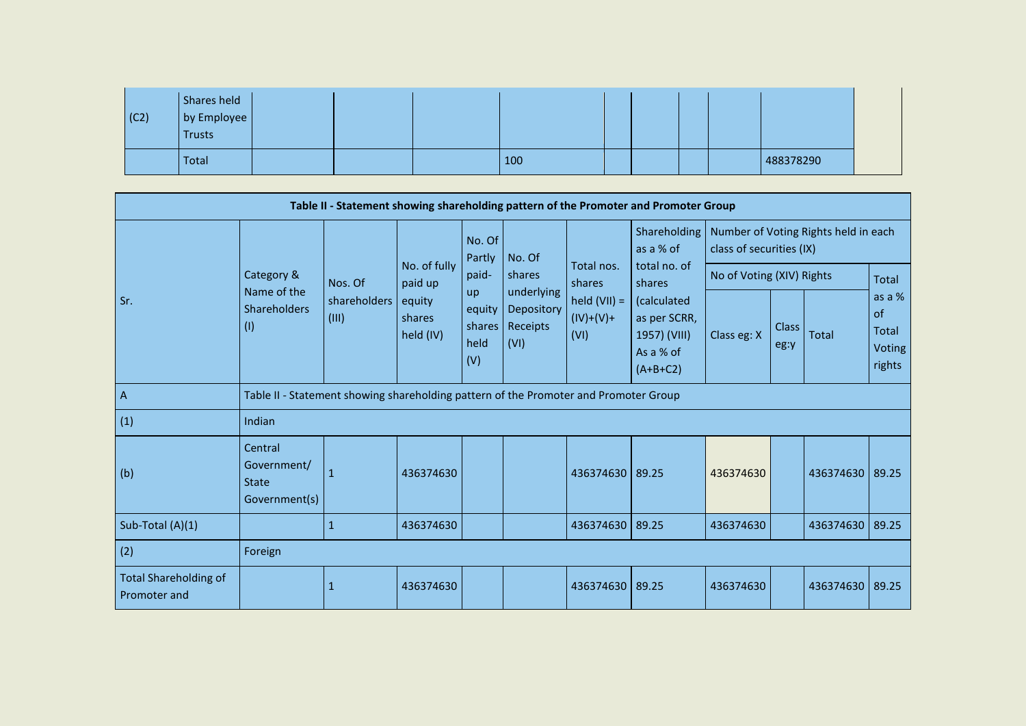| $\vert$ (C2) | Shares held<br>by Employee<br>Trusts |  |     |  |  |           |
|--------------|--------------------------------------|--|-----|--|--|-----------|
|              | Total                                |  | 100 |  |  | 488378290 |

|                                              |                                                         |                                                                                      |                               |                                       |                                              |                                       | Table II - Statement showing shareholding pattern of the Promoter and Promoter Group |                           |                      |                                      |                                                  |
|----------------------------------------------|---------------------------------------------------------|--------------------------------------------------------------------------------------|-------------------------------|---------------------------------------|----------------------------------------------|---------------------------------------|--------------------------------------------------------------------------------------|---------------------------|----------------------|--------------------------------------|--------------------------------------------------|
|                                              |                                                         |                                                                                      |                               | No. Of<br>Partly                      | No. Of                                       |                                       | Shareholding<br>as a % of                                                            | class of securities (IX)  |                      | Number of Voting Rights held in each |                                                  |
|                                              | Category &                                              | Nos. Of                                                                              | No. of fully<br>paid up       | paid-                                 | shares                                       | Total nos.<br>shares                  | total no. of<br>shares                                                               | No of Voting (XIV) Rights |                      |                                      | <b>Total</b>                                     |
| Sr.                                          | Name of the<br><b>Shareholders</b><br>(1)               | shareholders<br>(III)                                                                | equity<br>shares<br>held (IV) | up<br>equity<br>shares<br>held<br>(V) | underlying<br>Depository<br>Receipts<br>(VI) | held $(VII) =$<br>$(IV)+(V)+$<br>(VI) | (calculated<br>as per SCRR,<br>1957) (VIII)<br>As a % of<br>$(A+B+C2)$               | Class eg: X               | <b>Class</b><br>eg:y | <b>Total</b>                         | as a %<br>of<br><b>Total</b><br>Voting<br>rights |
| $\overline{A}$                               |                                                         | Table II - Statement showing shareholding pattern of the Promoter and Promoter Group |                               |                                       |                                              |                                       |                                                                                      |                           |                      |                                      |                                                  |
| (1)                                          | Indian                                                  |                                                                                      |                               |                                       |                                              |                                       |                                                                                      |                           |                      |                                      |                                                  |
| (b)                                          | Central<br>Government/<br><b>State</b><br>Government(s) |                                                                                      | 436374630                     |                                       |                                              | 436374630 89.25                       |                                                                                      | 436374630                 |                      | 436374630                            | 89.25                                            |
| Sub-Total (A)(1)                             |                                                         | $\mathbf{1}$                                                                         | 436374630                     |                                       |                                              | 436374630 89.25                       |                                                                                      | 436374630                 |                      | 436374630 89.25                      |                                                  |
| (2)                                          | Foreign                                                 |                                                                                      |                               |                                       |                                              |                                       |                                                                                      |                           |                      |                                      |                                                  |
| <b>Total Shareholding of</b><br>Promoter and |                                                         | 1                                                                                    | 436374630                     |                                       |                                              | 436374630                             | 89.25                                                                                | 436374630                 |                      | 436374630                            | 89.25                                            |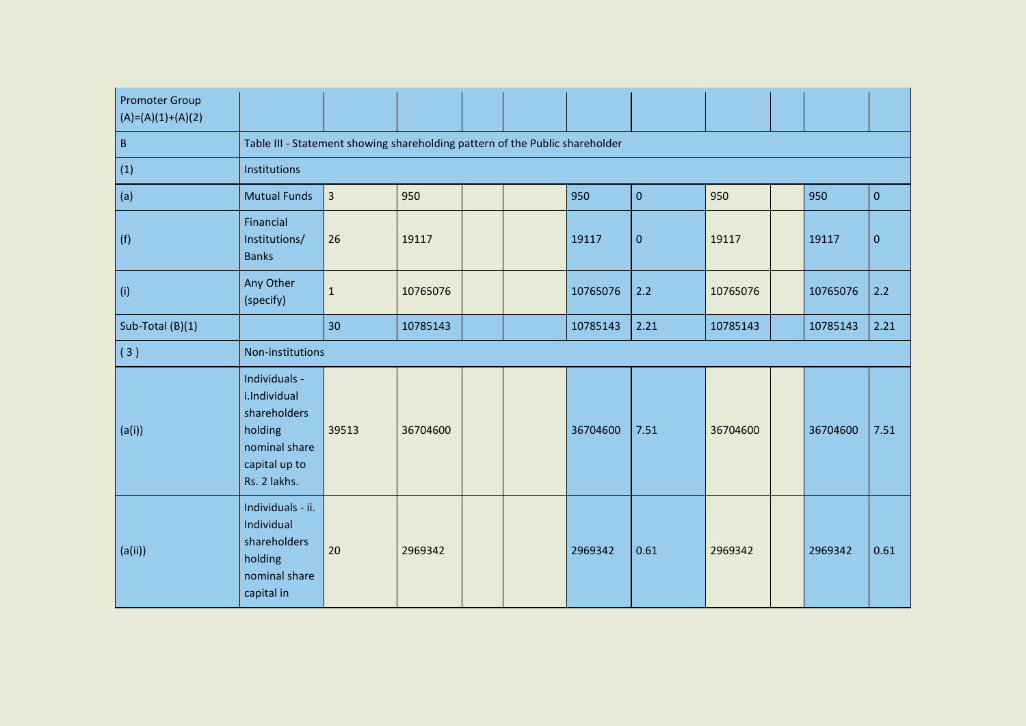| <b>Promoter Group</b><br>$(A)=(A)(1)+(A)(2)$ |                                                                                                            |                |          |  |          |           |          |          |             |
|----------------------------------------------|------------------------------------------------------------------------------------------------------------|----------------|----------|--|----------|-----------|----------|----------|-------------|
| $\sf B$                                      | Table III - Statement showing shareholding pattern of the Public shareholder                               |                |          |  |          |           |          |          |             |
| (1)                                          | Institutions                                                                                               |                |          |  |          |           |          |          |             |
| (a)                                          | <b>Mutual Funds</b>                                                                                        | $\overline{3}$ | 950      |  | 950      | $\pmb{0}$ | 950      | 950      | $\mathbf 0$ |
| (f)                                          | Financial<br>Institutions/<br><b>Banks</b>                                                                 | 26             | 19117    |  | 19117    | $\pmb{0}$ | 19117    | 19117    | $\mathbf 0$ |
| (i)                                          | Any Other<br>(specify)                                                                                     | $\mathbf 1$    | 10765076 |  | 10765076 | 2.2       | 10765076 | 10765076 | 2.2         |
| Sub-Total (B)(1)                             |                                                                                                            | 30             | 10785143 |  | 10785143 | 2.21      | 10785143 | 10785143 | 2.21        |
| (3)                                          | Non-institutions                                                                                           |                |          |  |          |           |          |          |             |
| (a(i))                                       | Individuals -<br>i.Individual<br>shareholders<br>holding<br>nominal share<br>capital up to<br>Rs. 2 lakhs. | 39513          | 36704600 |  | 36704600 | 7.51      | 36704600 | 36704600 | 7.51        |
| (a(ii))                                      | Individuals - ii.<br>Individual<br>shareholders<br>holding<br>nominal share<br>capital in                  | 20             | 2969342  |  | 2969342  | 0.61      | 2969342  | 2969342  | 0.61        |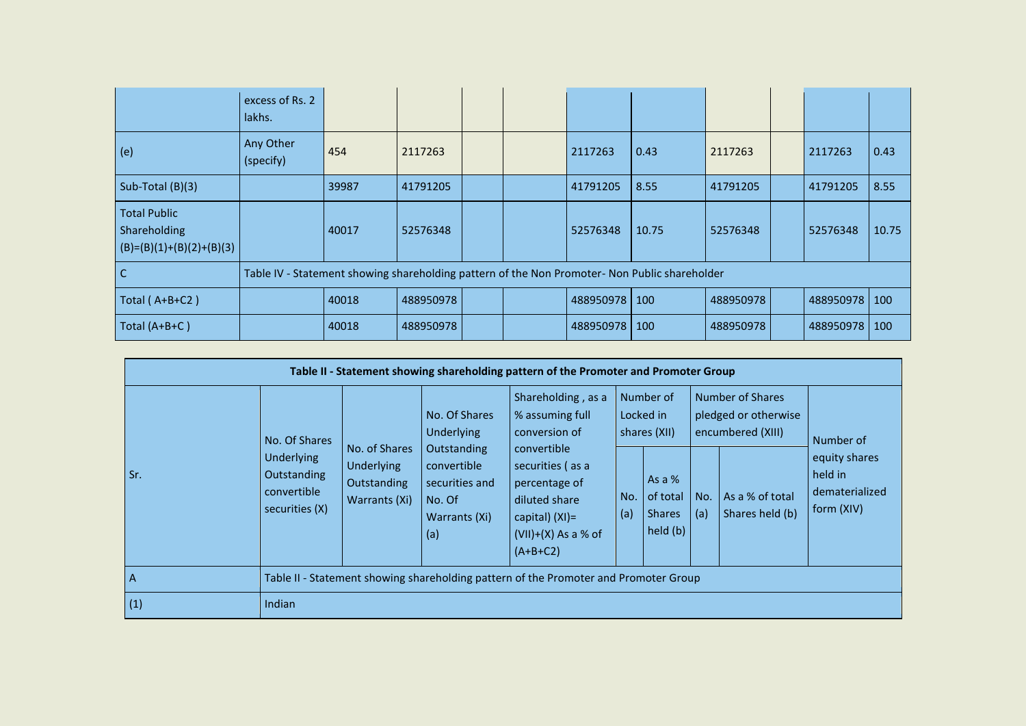|                                                                   | excess of Rs. 2<br>lakhs.                                                                     |       |           |  |           |       |           |           |       |
|-------------------------------------------------------------------|-----------------------------------------------------------------------------------------------|-------|-----------|--|-----------|-------|-----------|-----------|-------|
| (e)                                                               | Any Other<br>(specify)                                                                        | 454   | 2117263   |  | 2117263   | 0.43  | 2117263   | 2117263   | 0.43  |
| Sub-Total $(B)(3)$                                                |                                                                                               | 39987 | 41791205  |  | 41791205  | 8.55  | 41791205  | 41791205  | 8.55  |
| <b>Total Public</b><br>Shareholding<br>$(B)=(B)(1)+(B)(2)+(B)(3)$ |                                                                                               | 40017 | 52576348  |  | 52576348  | 10.75 | 52576348  | 52576348  | 10.75 |
| C                                                                 | Table IV - Statement showing shareholding pattern of the Non Promoter- Non Public shareholder |       |           |  |           |       |           |           |       |
| Total (A+B+C2)                                                    |                                                                                               | 40018 | 488950978 |  | 488950978 | 100   | 488950978 | 488950978 | 100   |
| Total (A+B+C)                                                     |                                                                                               | 40018 | 488950978 |  | 488950978 | 100   | 488950978 | 488950978 | 100   |

| Table II - Statement showing shareholding pattern of the Promoter and Promoter Group |                                                                   |                                                          |                                                                         |                                                                                                                               |                                        |                                                   |                                                               |                                    |                                                          |  |  |
|--------------------------------------------------------------------------------------|-------------------------------------------------------------------|----------------------------------------------------------|-------------------------------------------------------------------------|-------------------------------------------------------------------------------------------------------------------------------|----------------------------------------|---------------------------------------------------|---------------------------------------------------------------|------------------------------------|----------------------------------------------------------|--|--|
| Sr.                                                                                  | No. Of Shares                                                     | No. of Shares                                            | No. Of Shares<br><b>Underlying</b>                                      | Shareholding, as a<br>% assuming full<br>conversion of                                                                        | Number of<br>Locked in<br>shares (XII) |                                                   | Number of Shares<br>pledged or otherwise<br>encumbered (XIII) |                                    | Number of                                                |  |  |
|                                                                                      | <b>Underlying</b><br>Outstanding<br>convertible<br>securities (X) | <b>Underlying</b><br>Outstanding<br>Warrants (Xi)<br>(a) | Outstanding<br>convertible<br>securities and<br>No. Of<br>Warrants (Xi) | convertible<br>securities (as a<br>percentage of<br>diluted share<br>capital) $(XI) =$<br>$(VII)+(X)$ As a % of<br>$(A+B+C2)$ | No.<br>(a)                             | As a $%$<br>of total<br><b>Shares</b><br>held (b) | No.<br>(a)                                                    | As a % of total<br>Shares held (b) | equity shares<br>held in<br>dematerialized<br>form (XIV) |  |  |
| A                                                                                    |                                                                   |                                                          |                                                                         | Table II - Statement showing shareholding pattern of the Promoter and Promoter Group                                          |                                        |                                                   |                                                               |                                    |                                                          |  |  |
| (1)                                                                                  | Indian                                                            |                                                          |                                                                         |                                                                                                                               |                                        |                                                   |                                                               |                                    |                                                          |  |  |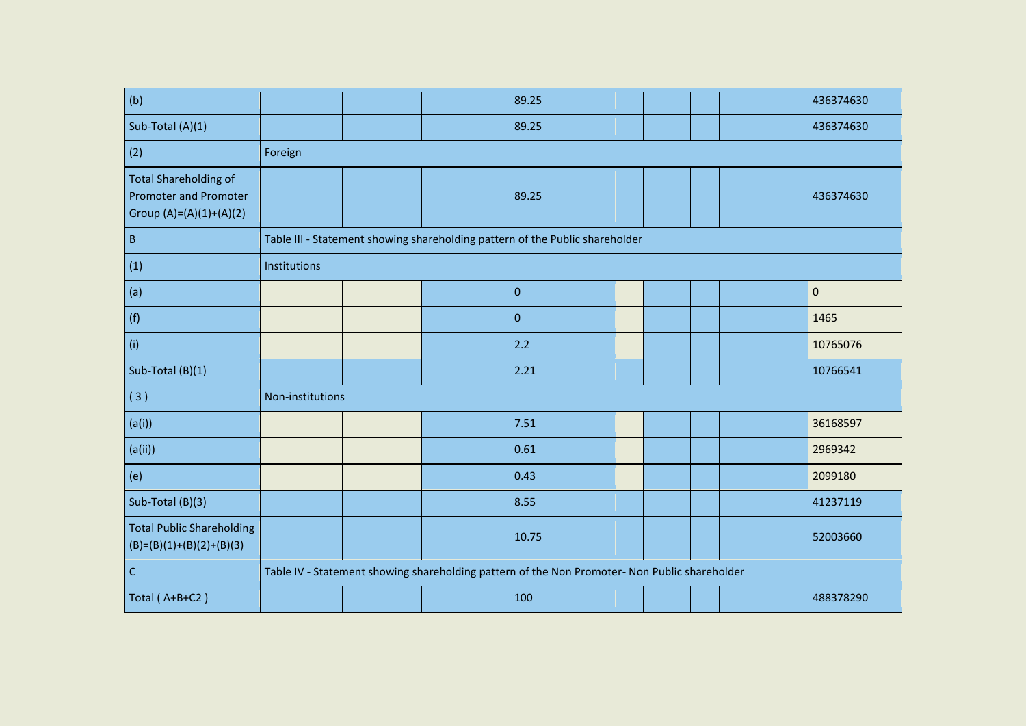| (b)                                                                                       |                  |  | 89.25                                                                                         |  |  | 436374630 |
|-------------------------------------------------------------------------------------------|------------------|--|-----------------------------------------------------------------------------------------------|--|--|-----------|
| Sub-Total (A)(1)                                                                          |                  |  | 89.25                                                                                         |  |  | 436374630 |
| (2)                                                                                       | Foreign          |  |                                                                                               |  |  |           |
| <b>Total Shareholding of</b><br><b>Promoter and Promoter</b><br>Group $(A)=(A)(1)+(A)(2)$ |                  |  | 89.25                                                                                         |  |  | 436374630 |
| $\sf B$                                                                                   |                  |  | Table III - Statement showing shareholding pattern of the Public shareholder                  |  |  |           |
| (1)                                                                                       | Institutions     |  |                                                                                               |  |  |           |
| (a)                                                                                       |                  |  | $\pmb{0}$                                                                                     |  |  | $\pmb{0}$ |
| (f)                                                                                       |                  |  | $\mathbf 0$                                                                                   |  |  | 1465      |
| (i)                                                                                       |                  |  | 2.2                                                                                           |  |  | 10765076  |
| Sub-Total (B)(1)                                                                          |                  |  | 2.21                                                                                          |  |  | 10766541  |
| (3)                                                                                       | Non-institutions |  |                                                                                               |  |  |           |
| (a(i))                                                                                    |                  |  | 7.51                                                                                          |  |  | 36168597  |
| (a(i))                                                                                    |                  |  | 0.61                                                                                          |  |  | 2969342   |
| (e)                                                                                       |                  |  | 0.43                                                                                          |  |  | 2099180   |
| Sub-Total (B)(3)                                                                          |                  |  | 8.55                                                                                          |  |  | 41237119  |
| <b>Total Public Shareholding</b><br>$(B)=(B)(1)+(B)(2)+(B)(3)$                            |                  |  | 10.75                                                                                         |  |  | 52003660  |
| $\mathsf C$                                                                               |                  |  | Table IV - Statement showing shareholding pattern of the Non Promoter- Non Public shareholder |  |  |           |
| Total (A+B+C2)                                                                            |                  |  | 100                                                                                           |  |  | 488378290 |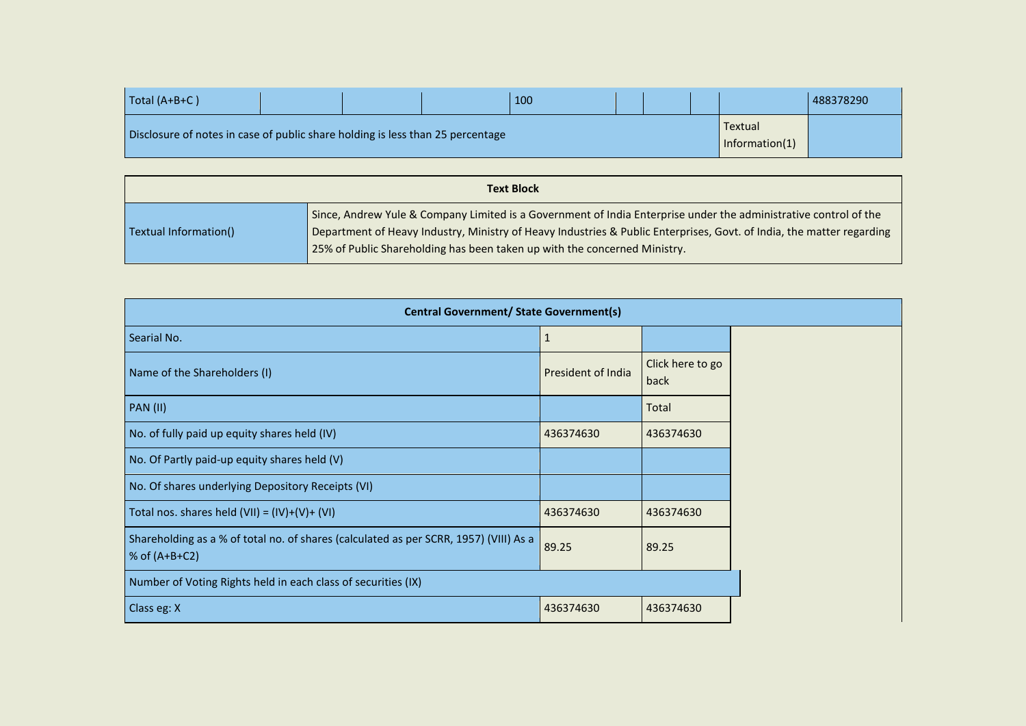| $\vert$ Total (A+B+C)                                                          |  | 100 |  |                           | 488378290 |
|--------------------------------------------------------------------------------|--|-----|--|---------------------------|-----------|
| Disclosure of notes in case of public share holding is less than 25 percentage |  |     |  | Textual<br>Information(1) |           |

|                       | <b>Text Block</b>                                                                                                                                                                                                                                                                                                      |
|-----------------------|------------------------------------------------------------------------------------------------------------------------------------------------------------------------------------------------------------------------------------------------------------------------------------------------------------------------|
| Textual Information() | Since, Andrew Yule & Company Limited is a Government of India Enterprise under the administrative control of the<br>Department of Heavy Industry, Ministry of Heavy Industries & Public Enterprises, Govt. of India, the matter regarding<br>25% of Public Shareholding has been taken up with the concerned Ministry. |

| <b>Central Government/ State Government(s)</b>                                                           |                    |                          |  |  |
|----------------------------------------------------------------------------------------------------------|--------------------|--------------------------|--|--|
| Searial No.                                                                                              |                    |                          |  |  |
| Name of the Shareholders (I)                                                                             | President of India | Click here to go<br>back |  |  |
| <b>PAN (II)</b>                                                                                          |                    | Total                    |  |  |
| No. of fully paid up equity shares held (IV)                                                             | 436374630          | 436374630                |  |  |
| No. Of Partly paid-up equity shares held (V)                                                             |                    |                          |  |  |
| No. Of shares underlying Depository Receipts (VI)                                                        |                    |                          |  |  |
| Total nos. shares held $(VII) = (IV)+(V)+(VI)$                                                           | 436374630          | 436374630                |  |  |
| Shareholding as a % of total no. of shares (calculated as per SCRR, 1957) (VIII) As a<br>% of $(A+B+C2)$ | 89.25              | 89.25                    |  |  |
| Number of Voting Rights held in each class of securities (IX)                                            |                    |                          |  |  |
| Class eg: X                                                                                              | 436374630          | 436374630                |  |  |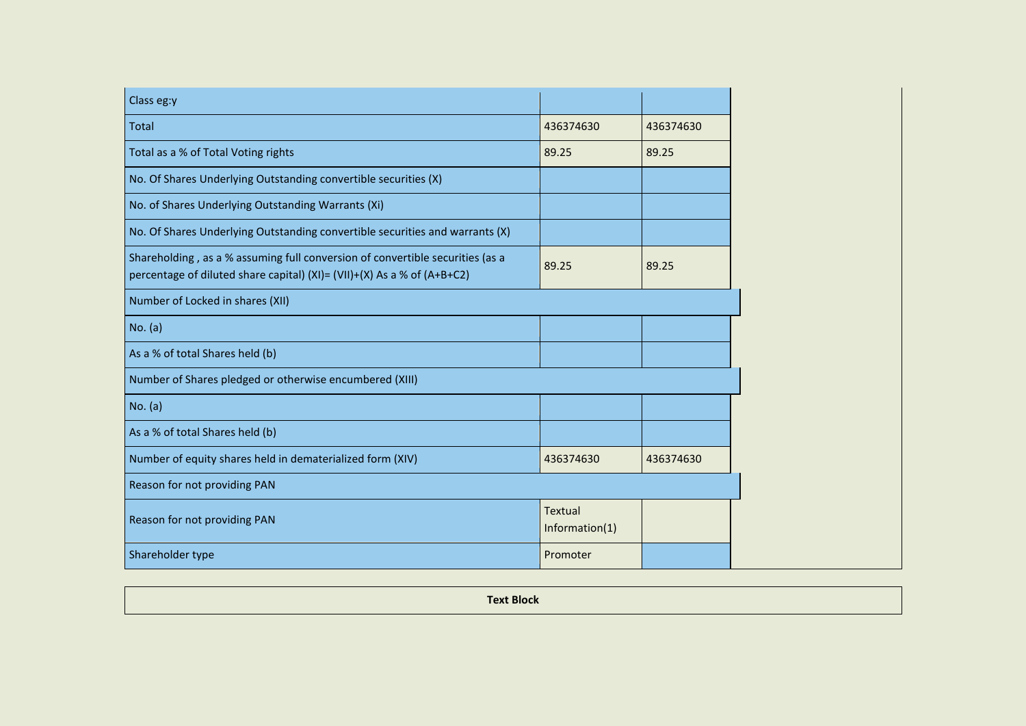| Class eg:y                                                                                                                                               |                                  |           |
|----------------------------------------------------------------------------------------------------------------------------------------------------------|----------------------------------|-----------|
| <b>Total</b>                                                                                                                                             | 436374630                        | 436374630 |
| Total as a % of Total Voting rights                                                                                                                      | 89.25                            | 89.25     |
| No. Of Shares Underlying Outstanding convertible securities (X)                                                                                          |                                  |           |
| No. of Shares Underlying Outstanding Warrants (Xi)                                                                                                       |                                  |           |
| No. Of Shares Underlying Outstanding convertible securities and warrants (X)                                                                             |                                  |           |
| Shareholding, as a % assuming full conversion of convertible securities (as a<br>percentage of diluted share capital) (XI)= (VII)+(X) As a % of (A+B+C2) | 89.25                            | 89.25     |
| Number of Locked in shares (XII)                                                                                                                         |                                  |           |
| No. (a)                                                                                                                                                  |                                  |           |
| As a % of total Shares held (b)                                                                                                                          |                                  |           |
| Number of Shares pledged or otherwise encumbered (XIII)                                                                                                  |                                  |           |
| No. (a)                                                                                                                                                  |                                  |           |
| As a % of total Shares held (b)                                                                                                                          |                                  |           |
| Number of equity shares held in dematerialized form (XIV)                                                                                                | 436374630                        | 436374630 |
| Reason for not providing PAN                                                                                                                             |                                  |           |
| Reason for not providing PAN                                                                                                                             | <b>Textual</b><br>Information(1) |           |
| Shareholder type                                                                                                                                         | Promoter                         |           |

| <b>Text Block</b><br>$\sim$ |
|-----------------------------|
|-----------------------------|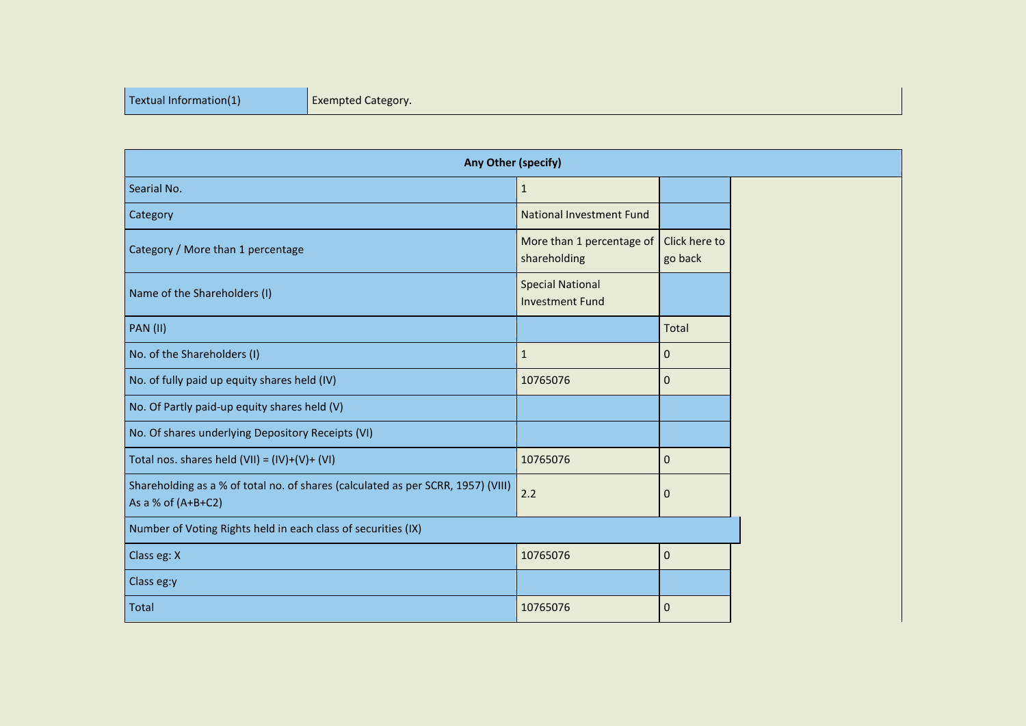| <b>Any Other (specify)</b>                                                                               |                                                   |                          |  |  |
|----------------------------------------------------------------------------------------------------------|---------------------------------------------------|--------------------------|--|--|
| Searial No.                                                                                              | $\mathbf{1}$                                      |                          |  |  |
| Category                                                                                                 | <b>National Investment Fund</b>                   |                          |  |  |
| Category / More than 1 percentage                                                                        | More than 1 percentage of<br>shareholding         | Click here to<br>go back |  |  |
| Name of the Shareholders (I)                                                                             | <b>Special National</b><br><b>Investment Fund</b> |                          |  |  |
| <b>PAN (II)</b>                                                                                          |                                                   | Total                    |  |  |
| No. of the Shareholders (I)                                                                              | $\mathbf{1}$                                      | 0                        |  |  |
| No. of fully paid up equity shares held (IV)                                                             | 10765076                                          | 0                        |  |  |
| No. Of Partly paid-up equity shares held (V)                                                             |                                                   |                          |  |  |
| No. Of shares underlying Depository Receipts (VI)                                                        |                                                   |                          |  |  |
| Total nos. shares held $(VII) = (IV)+(V)+(VI)$                                                           | 10765076                                          | $\mathbf 0$              |  |  |
| Shareholding as a % of total no. of shares (calculated as per SCRR, 1957) (VIII)<br>As a % of $(A+B+C2)$ | 2.2                                               | $\mathbf 0$              |  |  |
| Number of Voting Rights held in each class of securities (IX)                                            |                                                   |                          |  |  |
| Class eg: X                                                                                              | 10765076                                          | $\mathbf 0$              |  |  |
| Class eg:y                                                                                               |                                                   |                          |  |  |
| Total                                                                                                    | 10765076                                          | 0                        |  |  |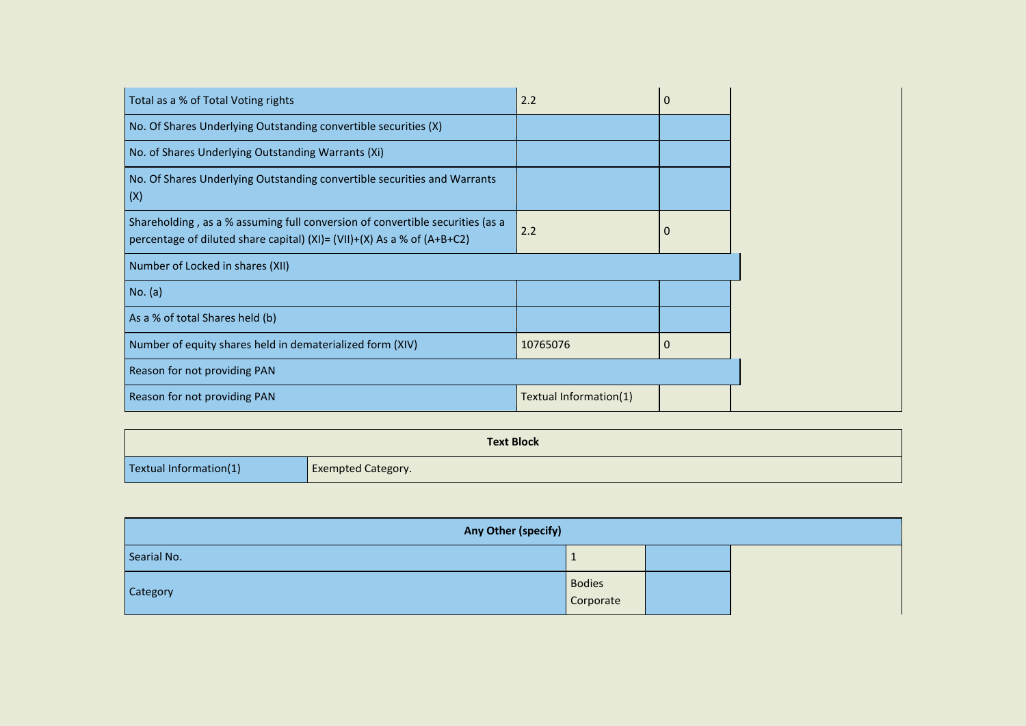| Total as a % of Total Voting rights                                                                                                                      | 2.2                    | $\mathbf 0$ |
|----------------------------------------------------------------------------------------------------------------------------------------------------------|------------------------|-------------|
| No. Of Shares Underlying Outstanding convertible securities (X)                                                                                          |                        |             |
| No. of Shares Underlying Outstanding Warrants (Xi)                                                                                                       |                        |             |
| No. Of Shares Underlying Outstanding convertible securities and Warrants<br>(X)                                                                          |                        |             |
| Shareholding, as a % assuming full conversion of convertible securities (as a<br>percentage of diluted share capital) (XI)= (VII)+(X) As a % of (A+B+C2) | 2.2                    | $\mathbf 0$ |
| Number of Locked in shares (XII)                                                                                                                         |                        |             |
| No. (a)                                                                                                                                                  |                        |             |
| As a % of total Shares held (b)                                                                                                                          |                        |             |
| Number of equity shares held in dematerialized form (XIV)                                                                                                | 10765076               | $\Omega$    |
| Reason for not providing PAN                                                                                                                             |                        |             |
| Reason for not providing PAN                                                                                                                             | Textual Information(1) |             |

|                        | <b>Text Block</b>         |
|------------------------|---------------------------|
| Textual Information(1) | <b>Exempted Category.</b> |

| Any Other (specify) |                            |  |
|---------------------|----------------------------|--|
| Searial No.         |                            |  |
| <b>Category</b>     | <b>Bodies</b><br>Corporate |  |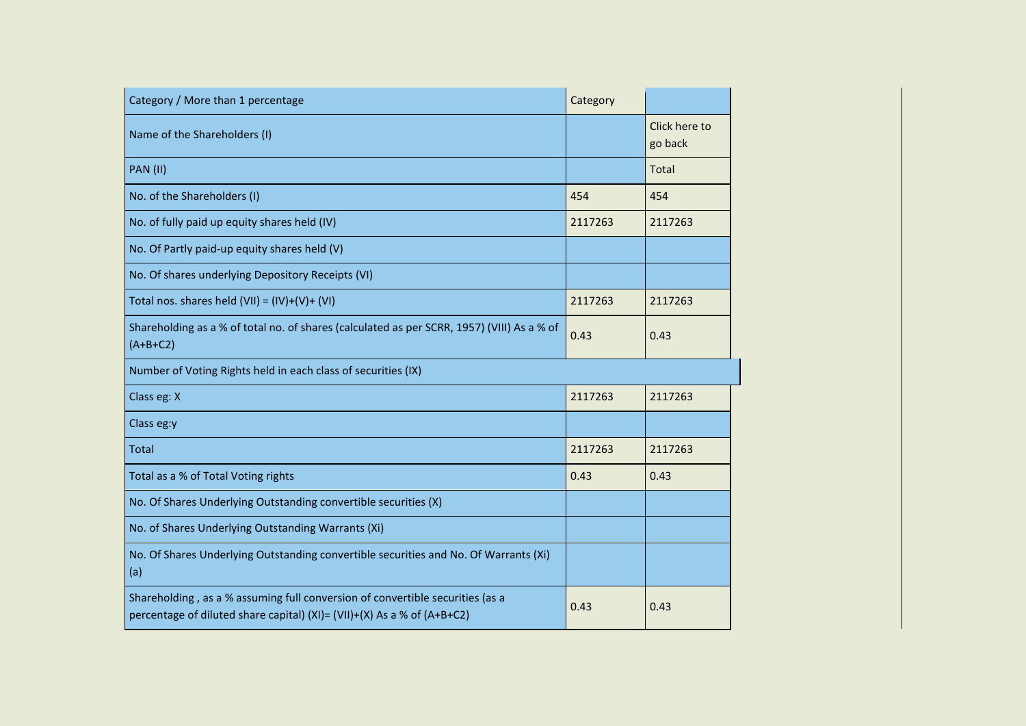| Category / More than 1 percentage                                                                                                                        | Category |                          |
|----------------------------------------------------------------------------------------------------------------------------------------------------------|----------|--------------------------|
| Name of the Shareholders (I)                                                                                                                             |          | Click here to<br>go back |
| <b>PAN (II)</b>                                                                                                                                          |          | Total                    |
| No. of the Shareholders (I)                                                                                                                              | 454      | 454                      |
| No. of fully paid up equity shares held (IV)                                                                                                             | 2117263  | 2117263                  |
| No. Of Partly paid-up equity shares held (V)                                                                                                             |          |                          |
| No. Of shares underlying Depository Receipts (VI)                                                                                                        |          |                          |
| Total nos. shares held $(VII) = (IV)+(V)+(VI)$                                                                                                           | 2117263  | 2117263                  |
| Shareholding as a % of total no. of shares (calculated as per SCRR, 1957) (VIII) As a % of<br>$(A+B+C2)$                                                 | 0.43     | 0.43                     |
| Number of Voting Rights held in each class of securities (IX)                                                                                            |          |                          |
| Class eg: X                                                                                                                                              | 2117263  | 2117263                  |
| Class eg:y                                                                                                                                               |          |                          |
| <b>Total</b>                                                                                                                                             | 2117263  | 2117263                  |
| Total as a % of Total Voting rights                                                                                                                      | 0.43     | 0.43                     |
| No. Of Shares Underlying Outstanding convertible securities (X)                                                                                          |          |                          |
| No. of Shares Underlying Outstanding Warrants (Xi)                                                                                                       |          |                          |
| No. Of Shares Underlying Outstanding convertible securities and No. Of Warrants (Xi)<br>(a)                                                              |          |                          |
| Shareholding, as a % assuming full conversion of convertible securities (as a<br>percentage of diluted share capital) (XI)= (VII)+(X) As a % of (A+B+C2) | 0.43     | 0.43                     |